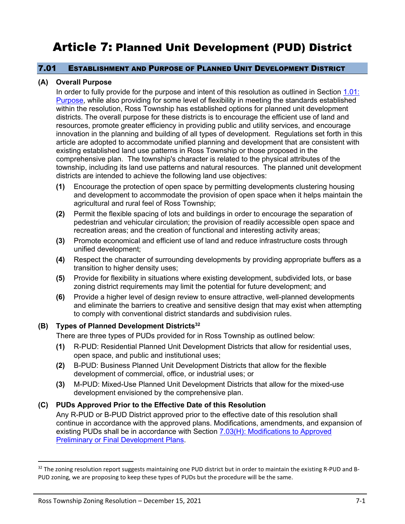# Article 7: Planned Unit Development (PUD) District

## 7.01 ESTABLISHMENT AND PURPOSE OF PLANNED UNIT DEVELOPMENT DISTRICT

## <span id="page-0-0"></span>**(A) Overall Purpose**

In order to fully provide for the purpose and intent of this resolution as outlined in Section 1.01: Purpose, while also providing for some level of flexibility in meeting the standards established within the resolution, Ross Township has established options for planned unit development districts. The overall purpose for these districts is to encourage the efficient use of land and resources, promote greater efficiency in providing public and utility services, and encourage innovation in the planning and building of all types of development. Regulations set forth in this article are adopted to accommodate unified planning and development that are consistent with existing established land use patterns in Ross Township or those proposed in the comprehensive plan. The township's character is related to the physical attributes of the township, including its land use patterns and natural resources. The planned unit development districts are intended to achieve the following land use objectives:

- **(1)** Encourage the protection of open space by permitting developments clustering housing and development to accommodate the provision of open space when it helps maintain the agricultural and rural feel of Ross Township;
- **(2)** Permit the flexible spacing of lots and buildings in order to encourage the separation of pedestrian and vehicular circulation; the provision of readily accessible open space and recreation areas; and the creation of functional and interesting activity areas;
- **(3)** Promote economical and efficient use of land and reduce infrastructure costs through unified development;
- **(4)** Respect the character of surrounding developments by providing appropriate buffers as a transition to higher density uses;
- **(5)** Provide for flexibility in situations where existing development, subdivided lots, or base zoning district requirements may limit the potential for future development; and
- **(6)** Provide a higher level of design review to ensure attractive, well-planned developments and eliminate the barriers to creative and sensitive design that may exist when attempting to comply with conventional district standards and subdivision rules.

## **(B) Types of Planned Development Districts<sup>32</sup>**

There are three types of PUDs provided for in Ross Township as outlined below:

- **(1)** R-PUD: Residential Planned Unit Development Districts that allow for residential uses, open space, and public and institutional uses;
- **(2)** B-PUD: Business Planned Unit Development Districts that allow for the flexible development of commercial, office, or industrial uses; or
- **(3)** M-PUD: Mixed-Use Planned Unit Development Districts that allow for the mixed-use development envisioned by the comprehensive plan.

## **(C) PUDs Approved Prior to the Effective Date of this Resolution**

Any R-PUD or B-PUD District approved prior to the effective date of this resolution shall continue in accordance with the approved plans. Modifications, amendments, and expansion of existing PUDs shall be in accordance with Section [7.03\(H\): Modifications to Approved](#page-7-0)  [Preliminary or Final Development Plans.](#page-7-0)

<sup>&</sup>lt;sup>32</sup> The zoning resolution report suggests maintaining one PUD district but in order to maintain the existing R-PUD and B-PUD zoning, we are proposing to keep these types of PUDs but the procedure will be the same.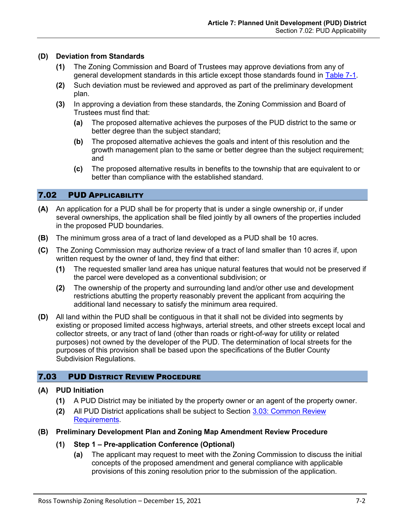## **(D) Deviation from Standards**

- **(1)** The Zoning Commission and Board of Trustees may approve deviations from any of general development standards in this article except those standards found in [Table 7-1.](#page-10-0)
- **(2)** Such deviation must be reviewed and approved as part of the preliminary development plan.
- **(3)** In approving a deviation from these standards, the Zoning Commission and Board of Trustees must find that:
	- **(a)** The proposed alternative achieves the purposes of the PUD district to the same or better degree than the subject standard;
	- **(b)** The proposed alternative achieves the goals and intent of this resolution and the growth management plan to the same or better degree than the subject requirement; and
	- **(c)** The proposed alternative results in benefits to the township that are equivalent to or better than compliance with the established standard.

# 7.02 PUD APPLICABILITY

- **(A)** An application for a PUD shall be for property that is under a single ownership or, if under several ownerships, the application shall be filed jointly by all owners of the properties included in the proposed PUD boundaries.
- **(B)** The minimum gross area of a tract of land developed as a PUD shall be 10 acres.
- **(C)** The Zoning Commission may authorize review of a tract of land smaller than 10 acres if, upon written request by the owner of land, they find that either:
	- **(1)** The requested smaller land area has unique natural features that would not be preserved if the parcel were developed as a conventional subdivision; or
	- **(2)** The ownership of the property and surrounding land and/or other use and development restrictions abutting the property reasonably prevent the applicant from acquiring the additional land necessary to satisfy the minimum area required.
- **(D)** All land within the PUD shall be contiguous in that it shall not be divided into segments by existing or proposed limited access highways, arterial streets, and other streets except local and collector streets, or any tract of land (other than roads or right-of-way for utility or related purposes) not owned by the developer of the PUD. The determination of local streets for the purposes of this provision shall be based upon the specifications of the Butler County Subdivision Regulations.

# 7.03 PUD DISTRICT REVIEW PROCEDURE

# **(A) PUD Initiation**

- **(1)** A PUD District may be initiated by the property owner or an agent of the property owner.
- **(2)** All PUD District applications shall be subject to Section 3.03: Common Review Requirements.

# <span id="page-1-0"></span>**(B) Preliminary Development Plan and Zoning Map Amendment Review Procedure**

- **(1) Step 1 – Pre-application Conference (Optional)**
	- **(a)** The applicant may request to meet with the Zoning Commission to discuss the initial concepts of the proposed amendment and general compliance with applicable provisions of this zoning resolution prior to the submission of the application.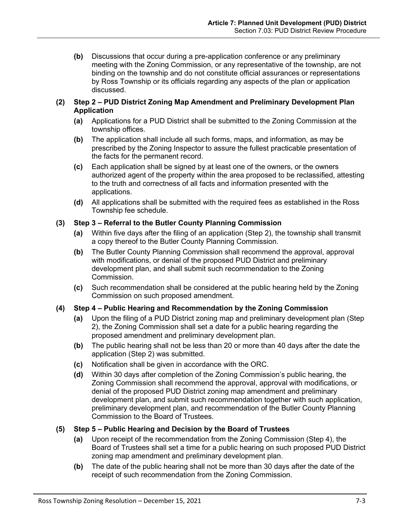**(b)** Discussions that occur during a pre-application conference or any preliminary meeting with the Zoning Commission, or any representative of the township, are not binding on the township and do not constitute official assurances or representations by Ross Township or its officials regarding any aspects of the plan or application discussed.

## **(2) Step 2 – PUD District Zoning Map Amendment and Preliminary Development Plan Application**

- **(a)** Applications for a PUD District shall be submitted to the Zoning Commission at the township offices.
- **(b)** The application shall include all such forms, maps, and information, as may be prescribed by the Zoning Inspector to assure the fullest practicable presentation of the facts for the permanent record.
- **(c)** Each application shall be signed by at least one of the owners, or the owners authorized agent of the property within the area proposed to be reclassified, attesting to the truth and correctness of all facts and information presented with the applications.
- **(d)** All applications shall be submitted with the required fees as established in the Ross Township fee schedule.

# **(3) Step 3 – Referral to the Butler County Planning Commission**

- **(a)** Within five days after the filing of an application (Step 2), the township shall transmit a copy thereof to the Butler County Planning Commission.
- **(b)** The Butler County Planning Commission shall recommend the approval, approval with modifications, or denial of the proposed PUD District and preliminary development plan, and shall submit such recommendation to the Zoning Commission.
- **(c)** Such recommendation shall be considered at the public hearing held by the Zoning Commission on such proposed amendment.

# **(4) Step 4 – Public Hearing and Recommendation by the Zoning Commission**

- **(a)** Upon the filing of a PUD District zoning map and preliminary development plan (Step 2), the Zoning Commission shall set a date for a public hearing regarding the proposed amendment and preliminary development plan.
- **(b)** The public hearing shall not be less than 20 or more than 40 days after the date the application (Step 2) was submitted.
- **(c)** Notification shall be given in accordance with the ORC.
- **(d)** Within 30 days after completion of the Zoning Commission's public hearing, the Zoning Commission shall recommend the approval, approval with modifications, or denial of the proposed PUD District zoning map amendment and preliminary development plan, and submit such recommendation together with such application, preliminary development plan, and recommendation of the Butler County Planning Commission to the Board of Trustees.

# **(5) Step 5 – Public Hearing and Decision by the Board of Trustees**

- **(a)** Upon receipt of the recommendation from the Zoning Commission (Step 4), the Board of Trustees shall set a time for a public hearing on such proposed PUD District zoning map amendment and preliminary development plan.
- **(b)** The date of the public hearing shall not be more than 30 days after the date of the receipt of such recommendation from the Zoning Commission.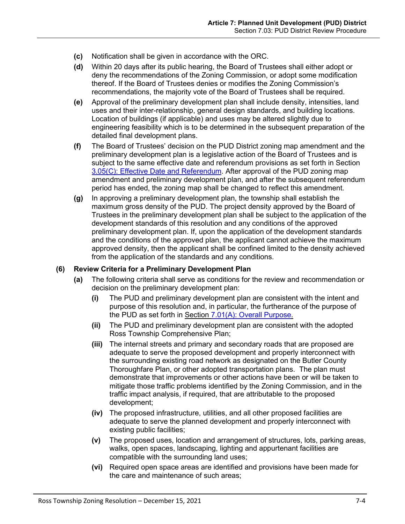- **(c)** Notification shall be given in accordance with the ORC.
- **(d)** Within 20 days after its public hearing, the Board of Trustees shall either adopt or deny the recommendations of the Zoning Commission, or adopt some modification thereof. If the Board of Trustees denies or modifies the Zoning Commission's recommendations, the majority vote of the Board of Trustees shall be required.
- **(e)** Approval of the preliminary development plan shall include density, intensities, land uses and their inter-relationship, general design standards, and building locations. Location of buildings (if applicable) and uses may be altered slightly due to engineering feasibility which is to be determined in the subsequent preparation of the detailed final development plans.
- **(f)** The Board of Trustees' decision on the PUD District zoning map amendment and the preliminary development plan is a legislative action of the Board of Trustees and is subject to the same effective date and referendum provisions as set forth in Section 3.05(C): Effective Date and Referendum. After approval of the PUD zoning map amendment and preliminary development plan, and after the subsequent referendum period has ended, the zoning map shall be changed to reflect this amendment.
- **(g)** In approving a preliminary development plan, the township shall establish the maximum gross density of the PUD. The project density approved by the Board of Trustees in the preliminary development plan shall be subject to the application of the development standards of this resolution and any conditions of the approved preliminary development plan. If, upon the application of the development standards and the conditions of the approved plan, the applicant cannot achieve the maximum approved density, then the applicant shall be confined limited to the density achieved from the application of the standards and any conditions.

## **(6) Review Criteria for a Preliminary Development Plan**

- **(a)** The following criteria shall serve as conditions for the review and recommendation or decision on the preliminary development plan:
	- **(i)** The PUD and preliminary development plan are consistent with the intent and purpose of this resolution and, in particular, the furtherance of the purpose of the PUD as set forth in Section [7.01\(A\): Overall Purpose.](#page-0-0)
	- **(ii)** The PUD and preliminary development plan are consistent with the adopted Ross Township Comprehensive Plan;
	- **(iii)** The internal streets and primary and secondary roads that are proposed are adequate to serve the proposed development and properly interconnect with the surrounding existing road network as designated on the Butler County Thoroughfare Plan, or other adopted transportation plans. The plan must demonstrate that improvements or other actions have been or will be taken to mitigate those traffic problems identified by the Zoning Commission, and in the traffic impact analysis, if required, that are attributable to the proposed development;
	- **(iv)** The proposed infrastructure, utilities, and all other proposed facilities are adequate to serve the planned development and properly interconnect with existing public facilities;
	- **(v)** The proposed uses, location and arrangement of structures, lots, parking areas, walks, open spaces, landscaping, lighting and appurtenant facilities are compatible with the surrounding land uses;
	- **(vi)** Required open space areas are identified and provisions have been made for the care and maintenance of such areas;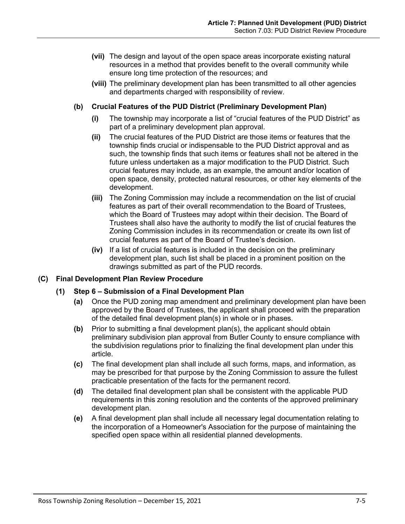- **(vii)** The design and layout of the open space areas incorporate existing natural resources in a method that provides benefit to the overall community while ensure long time protection of the resources; and
- **(viii)** The preliminary development plan has been transmitted to all other agencies and departments charged with responsibility of review.

## **(b) Crucial Features of the PUD District (Preliminary Development Plan)**

- **(i)** The township may incorporate a list of "crucial features of the PUD District" as part of a preliminary development plan approval.
- **(ii)** The crucial features of the PUD District are those items or features that the township finds crucial or indispensable to the PUD District approval and as such, the township finds that such items or features shall not be altered in the future unless undertaken as a major modification to the PUD District. Such crucial features may include, as an example, the amount and/or location of open space, density, protected natural resources, or other key elements of the development.
- **(iii)** The Zoning Commission may include a recommendation on the list of crucial features as part of their overall recommendation to the Board of Trustees, which the Board of Trustees may adopt within their decision. The Board of Trustees shall also have the authority to modify the list of crucial features the Zoning Commission includes in its recommendation or create its own list of crucial features as part of the Board of Trustee's decision.
- **(iv)** If a list of crucial features is included in the decision on the preliminary development plan, such list shall be placed in a prominent position on the drawings submitted as part of the PUD records.

## **(C) Final Development Plan Review Procedure**

## **(1) Step 6 – Submission of a Final Development Plan**

- **(a)** Once the PUD zoning map amendment and preliminary development plan have been approved by the Board of Trustees, the applicant shall proceed with the preparation of the detailed final development plan(s) in whole or in phases.
- **(b)** Prior to submitting a final development plan(s), the applicant should obtain preliminary subdivision plan approval from Butler County to ensure compliance with the subdivision regulations prior to finalizing the final development plan under this article.
- **(c)** The final development plan shall include all such forms, maps, and information, as may be prescribed for that purpose by the Zoning Commission to assure the fullest practicable presentation of the facts for the permanent record.
- **(d)** The detailed final development plan shall be consistent with the applicable PUD requirements in this zoning resolution and the contents of the approved preliminary development plan.
- **(e)** A final development plan shall include all necessary legal documentation relating to the incorporation of a Homeowner's Association for the purpose of maintaining the specified open space within all residential planned developments.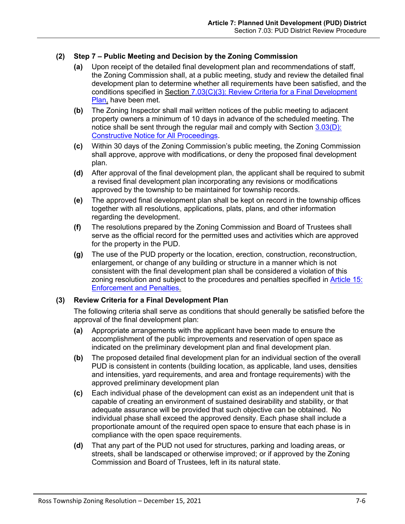# **(2) Step 7 – Public Meeting and Decision by the Zoning Commission**

- **(a)** Upon receipt of the detailed final development plan and recommendations of staff, the Zoning Commission shall, at a public meeting, study and review the detailed final development plan to determine whether all requirements have been satisfied, and the conditions specified in Section [7.03\(C\)\(3\): Review Criteria for a Final Development](#page-5-0)  [Plan,](#page-5-0) have been met.
- **(b)** The Zoning Inspector shall mail written notices of the public meeting to adjacent property owners a minimum of 10 days in advance of the scheduled meeting. The notice shall be sent through the regular mail and comply with Section 3.03(D): Constructive Notice for All Proceedings.
- **(c)** Within 30 days of the Zoning Commission's public meeting, the Zoning Commission shall approve, approve with modifications, or deny the proposed final development plan.
- **(d)** After approval of the final development plan, the applicant shall be required to submit a revised final development plan incorporating any revisions or modifications approved by the township to be maintained for township records.
- **(e)** The approved final development plan shall be kept on record in the township offices together with all resolutions, applications, plats, plans, and other information regarding the development.
- **(f)** The resolutions prepared by the Zoning Commission and Board of Trustees shall serve as the official record for the permitted uses and activities which are approved for the property in the PUD.
- **(g)** The use of the PUD property or the location, erection, construction, reconstruction, enlargement, or change of any building or structure in a manner which is not consistent with the final development plan shall be considered a violation of this zoning resolution and subject to the procedures and penalties specified in Article 15: Enforcement and Penalties.

# <span id="page-5-0"></span>**(3) Review Criteria for a Final Development Plan**

The following criteria shall serve as conditions that should generally be satisfied before the approval of the final development plan:

- **(a)** Appropriate arrangements with the applicant have been made to ensure the accomplishment of the public improvements and reservation of open space as indicated on the preliminary development plan and final development plan.
- **(b)** The proposed detailed final development plan for an individual section of the overall PUD is consistent in contents (building location, as applicable, land uses, densities and intensities, yard requirements, and area and frontage requirements) with the approved preliminary development plan
- **(c)** Each individual phase of the development can exist as an independent unit that is capable of creating an environment of sustained desirability and stability, or that adequate assurance will be provided that such objective can be obtained. No individual phase shall exceed the approved density. Each phase shall include a proportionate amount of the required open space to ensure that each phase is in compliance with the open space requirements.
- **(d)** That any part of the PUD not used for structures, parking and loading areas, or streets, shall be landscaped or otherwise improved; or if approved by the Zoning Commission and Board of Trustees, left in its natural state.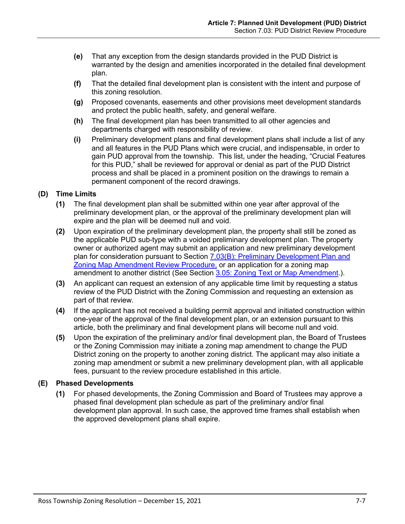- **(e)** That any exception from the design standards provided in the PUD District is warranted by the design and amenities incorporated in the detailed final development plan.
- **(f)** That the detailed final development plan is consistent with the intent and purpose of this zoning resolution.
- **(g)** Proposed covenants, easements and other provisions meet development standards and protect the public health, safety, and general welfare.
- **(h)** The final development plan has been transmitted to all other agencies and departments charged with responsibility of review.
- **(i)** Preliminary development plans and final development plans shall include a list of any and all features in the PUD Plans which were crucial, and indispensable, in order to gain PUD approval from the township. This list, under the heading, "Crucial Features for this PUD," shall be reviewed for approval or denial as part of the PUD District process and shall be placed in a prominent position on the drawings to remain a permanent component of the record drawings.

# **(D) Time Limits**

- **(1)** The final development plan shall be submitted within one year after approval of the preliminary development plan, or the approval of the preliminary development plan will expire and the plan will be deemed null and void.
- **(2)** Upon expiration of the preliminary development plan, the property shall still be zoned as the applicable PUD sub-type with a voided preliminary development plan. The property owner or authorized agent may submit an application and new preliminary development plan for consideration pursuant to Section [7.03\(B\): Preliminary Development Plan and](#page-1-0)  [Zoning Map Amendment Review Procedure,](#page-1-0) or an application for a zoning map amendment to another district (See Section 3.05: Zoning Text or Map Amendment.).
- **(3)** An applicant can request an extension of any applicable time limit by requesting a status review of the PUD District with the Zoning Commission and requesting an extension as part of that review.
- **(4)** If the applicant has not received a building permit approval and initiated construction within one-year of the approval of the final development plan, or an extension pursuant to this article, both the preliminary and final development plans will become null and void.
- **(5)** Upon the expiration of the preliminary and/or final development plan, the Board of Trustees or the Zoning Commission may initiate a zoning map amendment to change the PUD District zoning on the property to another zoning district. The applicant may also initiate a zoning map amendment or submit a new preliminary development plan, with all applicable fees, pursuant to the review procedure established in this article.

# **(E) Phased Developments**

**(1)** For phased developments, the Zoning Commission and Board of Trustees may approve a phased final development plan schedule as part of the preliminary and/or final development plan approval. In such case, the approved time frames shall establish when the approved development plans shall expire.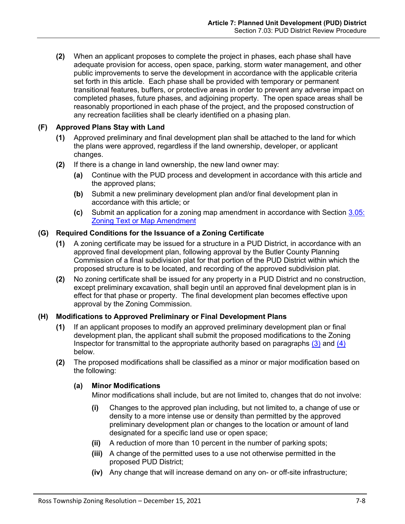**(2)** When an applicant proposes to complete the project in phases, each phase shall have adequate provision for access, open space, parking, storm water management, and other public improvements to serve the development in accordance with the applicable criteria set forth in this article. Each phase shall be provided with temporary or permanent transitional features, buffers, or protective areas in order to prevent any adverse impact on completed phases, future phases, and adjoining property. The open space areas shall be reasonably proportioned in each phase of the project, and the proposed construction of any recreation facilities shall be clearly identified on a phasing plan.

# **(F) Approved Plans Stay with Land**

- **(1)** Approved preliminary and final development plan shall be attached to the land for which the plans were approved, regardless if the land ownership, developer, or applicant changes.
- **(2)** If there is a change in land ownership, the new land owner may:
	- **(a)** Continue with the PUD process and development in accordance with this article and the approved plans;
	- **(b)** Submit a new preliminary development plan and/or final development plan in accordance with this article; or
	- **(c)** Submit an application for a zoning map amendment in accordance with Section 3.05: Zoning Text or Map Amendment

# **(G) Required Conditions for the Issuance of a Zoning Certificate**

- **(1)** A zoning certificate may be issued for a structure in a PUD District, in accordance with an approved final development plan, following approval by the Butler County Planning Commission of a final subdivision plat for that portion of the PUD District within which the proposed structure is to be located, and recording of the approved subdivision plat.
- **(2)** No zoning certificate shall be issued for any property in a PUD District and no construction, except preliminary excavation, shall begin until an approved final development plan is in effect for that phase or property. The final development plan becomes effective upon approval by the Zoning Commission.

# <span id="page-7-0"></span>**(H) Modifications to Approved Preliminary or Final Development Plans**

- **(1)** If an applicant proposes to modify an approved preliminary development plan or final development plan, the applicant shall submit the proposed modifications to the Zoning Inspector for transmittal to the appropriate authority based on paragraphs  $(3)$  and  $(4)$ below.
- **(2)** The proposed modifications shall be classified as a minor or major modification based on the following:

# **(a) Minor Modifications**

Minor modifications shall include, but are not limited to, changes that do not involve:

- **(i)** Changes to the approved plan including, but not limited to, a change of use or density to a more intense use or density than permitted by the approved preliminary development plan or changes to the location or amount of land designated for a specific land use or open space;
- **(ii)** A reduction of more than 10 percent in the number of parking spots;
- **(iii)** A change of the permitted uses to a use not otherwise permitted in the proposed PUD District;
- **(iv)** Any change that will increase demand on any on- or off-site infrastructure;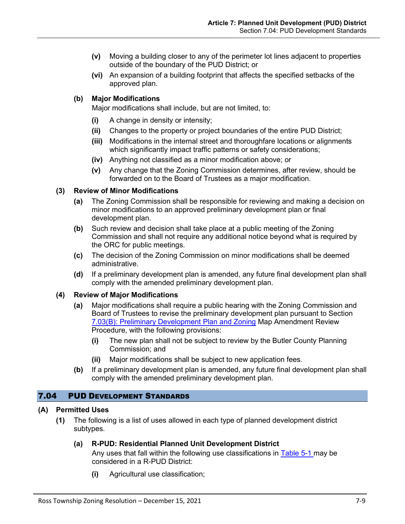- **(v)** Moving a building closer to any of the perimeter lot lines adjacent to properties outside of the boundary of the PUD District; or
- **(vi)** An expansion of a building footprint that affects the specified setbacks of the approved plan.

## **(b) Major Modifications**

Major modifications shall include, but are not limited, to:

- **(i)** A change in density or intensity;
- **(ii)** Changes to the property or project boundaries of the entire PUD District;
- **(iii)** Modifications in the internal street and thoroughfare locations or alignments which significantly impact traffic patterns or safety considerations;
- **(iv)** Anything not classified as a minor modification above; or
- **(v)** Any change that the Zoning Commission determines, after review, should be forwarded on to the Board of Trustees as a major modification.

## <span id="page-8-0"></span>**(3) Review of Minor Modifications**

- **(a)** The Zoning Commission shall be responsible for reviewing and making a decision on minor modifications to an approved preliminary development plan or final development plan.
- **(b)** Such review and decision shall take place at a public meeting of the Zoning Commission and shall not require any additional notice beyond what is required by the ORC for public meetings.
- **(c)** The decision of the Zoning Commission on minor modifications shall be deemed administrative.
- **(d)** If a preliminary development plan is amended, any future final development plan shall comply with the amended preliminary development plan.

## <span id="page-8-1"></span>**(4) Review of Major Modifications**

- **(a)** Major modifications shall require a public hearing with the Zoning Commission and Board of Trustees to revise the preliminary development plan pursuant to Section [7.03\(B\): Preliminary Development Plan and Zoning](#page-1-0) Map Amendment Review [Procedure,](#page-1-0) with the following provisions:
	- **(i)** The new plan shall not be subject to review by the Butler County Planning Commission; and
	- **(ii)** Major modifications shall be subject to new application fees.
- **(b)** If a preliminary development plan is amended, any future final development plan shall comply with the amended preliminary development plan.

## 7.04 PUD DEVELOPMENT STANDARDS

## **(A) Permitted Uses**

**(1)** The following is a list of uses allowed in each type of planned development district subtypes.

## **(a) R-PUD: Residential Planned Unit Development District**

Any uses that fall within the following use classifications in Table 5-1 may be considered in a R-PUD District:

**(i)** Agricultural use classification;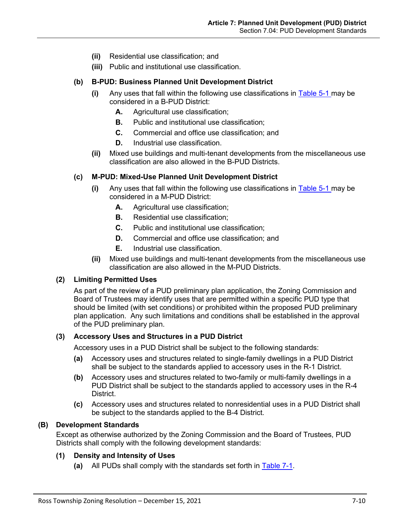- **(ii)** Residential use classification; and
- **(iii)** Public and institutional use classification.

#### **(b) B-PUD: Business Planned Unit Development District**

- **(i)** Any uses that fall within the following use classifications in Table 5-1 may be considered in a B-PUD District:
	- **A.** Agricultural use classification;
	- **B.** Public and institutional use classification;
	- **C.** Commercial and office use classification; and
	- **D.** Industrial use classification.
- **(ii)** Mixed use buildings and multi-tenant developments from the miscellaneous use classification are also allowed in the B-PUD Districts.

#### **(c) M-PUD: Mixed-Use Planned Unit Development District**

- **(i)** Any uses that fall within the following use classifications in Table 5-1 may be considered in a M-PUD District:
	- **A.** Agricultural use classification;
	- **B.** Residential use classification;
	- **C.** Public and institutional use classification;
	- **D.** Commercial and office use classification; and
	- **E.** Industrial use classification.
- **(ii)** Mixed use buildings and multi-tenant developments from the miscellaneous use classification are also allowed in the M-PUD Districts.

#### **(2) Limiting Permitted Uses**

As part of the review of a PUD preliminary plan application, the Zoning Commission and Board of Trustees may identify uses that are permitted within a specific PUD type that should be limited (with set conditions) or prohibited within the proposed PUD preliminary plan application. Any such limitations and conditions shall be established in the approval of the PUD preliminary plan.

#### **(3) Accessory Uses and Structures in a PUD District**

Accessory uses in a PUD District shall be subject to the following standards:

- **(a)** Accessory uses and structures related to single-family dwellings in a PUD District shall be subject to the standards applied to accessory uses in the R-1 District.
- **(b)** Accessory uses and structures related to two-family or multi-family dwellings in a PUD District shall be subject to the standards applied to accessory uses in the R-4 District.
- **(c)** Accessory uses and structures related to nonresidential uses in a PUD District shall be subject to the standards applied to the B-4 District.

#### **(B) Development Standards**

Except as otherwise authorized by the Zoning Commission and the Board of Trustees, PUD Districts shall comply with the following development standards:

# **(1) Density and Intensity of Uses**

**(a)** All PUDs shall comply with the standards set forth in [Table 7-1.](#page-10-0)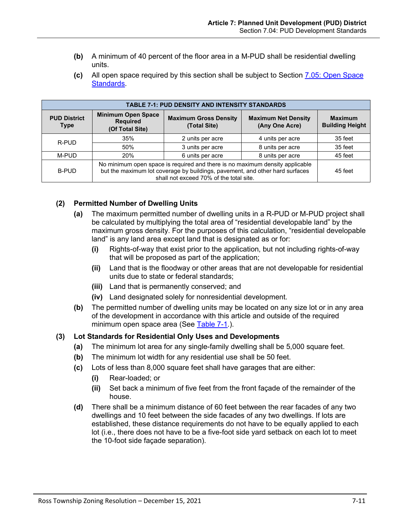- **(b)** A minimum of 40 percent of the floor area in a M-PUD shall be residential dwelling units.
- <span id="page-10-0"></span>**(c)** All open space required by this section shall be subject to Section [7.05: Open Space](#page-12-0)  [Standards.](#page-12-0)

| <b>TABLE 7-1: PUD DENSITY AND INTENSITY STANDARDS</b> |                                                                                                                                                                                                         |                                              |                                              |                                          |
|-------------------------------------------------------|---------------------------------------------------------------------------------------------------------------------------------------------------------------------------------------------------------|----------------------------------------------|----------------------------------------------|------------------------------------------|
| <b>PUD District</b><br><b>Type</b>                    | <b>Minimum Open Space</b><br><b>Required</b><br>(Of Total Site)                                                                                                                                         | <b>Maximum Gross Density</b><br>(Total Site) | <b>Maximum Net Density</b><br>(Any One Acre) | <b>Maximum</b><br><b>Building Height</b> |
| R-PUD                                                 | 35%                                                                                                                                                                                                     | 2 units per acre                             | 4 units per acre                             | 35 feet                                  |
|                                                       | 50%                                                                                                                                                                                                     | 3 units per acre                             | 8 units per acre                             | 35 feet                                  |
| M-PUD                                                 | 20%                                                                                                                                                                                                     | 6 units per acre                             | 8 units per acre                             | 45 feet                                  |
| <b>B-PUD</b>                                          | No minimum open space is required and there is no maximum density applicable<br>but the maximum lot coverage by buildings, pavement, and other hard surfaces<br>shall not exceed 70% of the total site. |                                              |                                              | 45 feet                                  |

# **(2) Permitted Number of Dwelling Units**

- **(a)** The maximum permitted number of dwelling units in a R-PUD or M-PUD project shall be calculated by multiplying the total area of "residential developable land" by the maximum gross density. For the purposes of this calculation, "residential developable land" is any land area except land that is designated as or for:
	- **(i)** Rights-of-way that exist prior to the application, but not including rights-of-way that will be proposed as part of the application;
	- **(ii)** Land that is the floodway or other areas that are not developable for residential units due to state or federal standards;
	- **(iii)** Land that is permanently conserved; and
	- **(iv)** Land designated solely for nonresidential development.
- **(b)** The permitted number of dwelling units may be located on any size lot or in any area of the development in accordance with this article and outside of the required minimum open space area (See [Table 7-1.](#page-10-0)).

# **(3) Lot Standards for Residential Only Uses and Developments**

- **(a)** The minimum lot area for any single-family dwelling shall be 5,000 square feet.
- **(b)** The minimum lot width for any residential use shall be 50 feet.
- **(c)** Lots of less than 8,000 square feet shall have garages that are either:
	- **(i)** Rear-loaded; or
	- **(ii)** Set back a minimum of five feet from the front façade of the remainder of the house.
- **(d)** There shall be a minimum distance of 60 feet between the rear facades of any two dwellings and 10 feet between the side facades of any two dwellings. If lots are established, these distance requirements do not have to be equally applied to each lot (i.e., there does not have to be a five-foot side yard setback on each lot to meet the 10-foot side façade separation).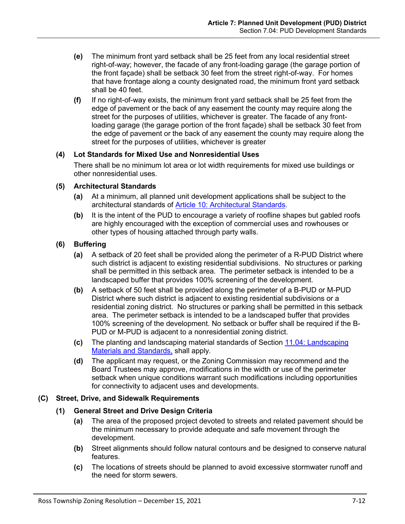- **(e)** The minimum front yard setback shall be 25 feet from any local residential street right-of-way; however, the facade of any front-loading garage (the garage portion of the front façade) shall be setback 30 feet from the street right-of-way. For homes that have frontage along a county designated road, the minimum front yard setback shall be 40 feet.
- **(f)** If no right-of-way exists, the minimum front yard setback shall be 25 feet from the edge of pavement or the back of any easement the county may require along the street for the purposes of utilities, whichever is greater. The facade of any frontloading garage (the garage portion of the front façade) shall be setback 30 feet from the edge of pavement or the back of any easement the county may require along the street for the purposes of utilities, whichever is greater

## **(4) Lot Standards for Mixed Use and Nonresidential Uses**

There shall be no minimum lot area or lot width requirements for mixed use buildings or other nonresidential uses.

#### **(5) Architectural Standards**

- **(a)** At a minimum, all planned unit development applications shall be subject to the architectural standards of Article 10: Architectural Standards.
- **(b)** It is the intent of the PUD to encourage a variety of roofline shapes but gabled roofs are highly encouraged with the exception of commercial uses and rowhouses or other types of housing attached through party walls.

## **(6) Buffering**

- **(a)** A setback of 20 feet shall be provided along the perimeter of a R-PUD District where such district is adjacent to existing residential subdivisions. No structures or parking shall be permitted in this setback area. The perimeter setback is intended to be a landscaped buffer that provides 100% screening of the development.
- **(b)** A setback of 50 feet shall be provided along the perimeter of a B-PUD or M-PUD District where such district is adjacent to existing residential subdivisions or a residential zoning district. No structures or parking shall be permitted in this setback area. The perimeter setback is intended to be a landscaped buffer that provides 100% screening of the development. No setback or buffer shall be required if the B-PUD or M-PUD is adjacent to a nonresidential zoning district.
- **(c)** The planting and landscaping material standards of Section 11.04: Landscaping Materials and Standards, shall apply.
- **(d)** The applicant may request, or the Zoning Commission may recommend and the Board Trustees may approve, modifications in the width or use of the perimeter setback when unique conditions warrant such modifications including opportunities for connectivity to adjacent uses and developments.

## **(C) Street, Drive, and Sidewalk Requirements**

## **(1) General Street and Drive Design Criteria**

- **(a)** The area of the proposed project devoted to streets and related pavement should be the minimum necessary to provide adequate and safe movement through the development.
- **(b)** Street alignments should follow natural contours and be designed to conserve natural features.
- **(c)** The locations of streets should be planned to avoid excessive stormwater runoff and the need for storm sewers.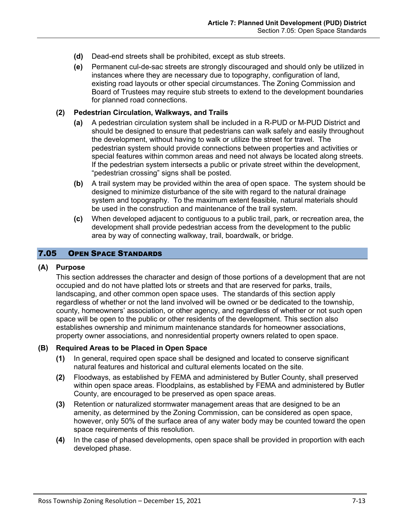- **(d)** Dead-end streets shall be prohibited, except as stub streets.
- **(e)** Permanent cul-de-sac streets are strongly discouraged and should only be utilized in instances where they are necessary due to topography, configuration of land, existing road layouts or other special circumstances. The Zoning Commission and Board of Trustees may require stub streets to extend to the development boundaries for planned road connections.

#### **(2) Pedestrian Circulation, Walkways, and Trails**

- **(a)** A pedestrian circulation system shall be included in a R-PUD or M-PUD District and should be designed to ensure that pedestrians can walk safely and easily throughout the development, without having to walk or utilize the street for travel. The pedestrian system should provide connections between properties and activities or special features within common areas and need not always be located along streets. If the pedestrian system intersects a public or private street within the development, "pedestrian crossing" signs shall be posted.
- **(b)** A trail system may be provided within the area of open space. The system should be designed to minimize disturbance of the site with regard to the natural drainage system and topography. To the maximum extent feasible, natural materials should be used in the construction and maintenance of the trail system.
- **(c)** When developed adjacent to contiguous to a public trail, park, or recreation area, the development shall provide pedestrian access from the development to the public area by way of connecting walkway, trail, boardwalk, or bridge.

## <span id="page-12-0"></span>7.05 OPEN SPACE STANDARDS

#### **(A) Purpose**

This section addresses the character and design of those portions of a development that are not occupied and do not have platted lots or streets and that are reserved for parks, trails, landscaping, and other common open space uses. The standards of this section apply regardless of whether or not the land involved will be owned or be dedicated to the township, county, homeowners' association, or other agency, and regardless of whether or not such open space will be open to the public or other residents of the development. This section also establishes ownership and minimum maintenance standards for homeowner associations, property owner associations, and nonresidential property owners related to open space.

#### **(B) Required Areas to be Placed in Open Space**

- **(1)** In general, required open space shall be designed and located to conserve significant natural features and historical and cultural elements located on the site.
- **(2)** Floodways, as established by FEMA and administered by Butler County, shall preserved within open space areas. Floodplains, as established by FEMA and administered by Butler County, are encouraged to be preserved as open space areas.
- **(3)** Retention or naturalized stormwater management areas that are designed to be an amenity, as determined by the Zoning Commission, can be considered as open space, however, only 50% of the surface area of any water body may be counted toward the open space requirements of this resolution.
- **(4)** In the case of phased developments, open space shall be provided in proportion with each developed phase.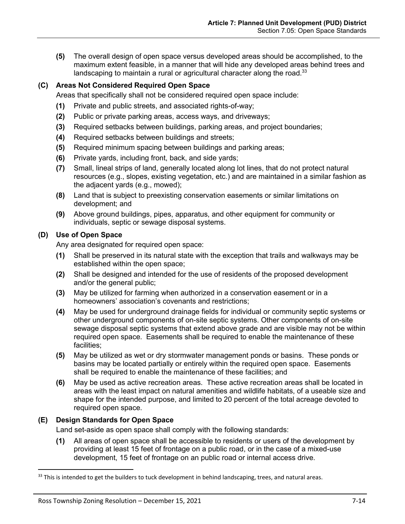**(5)** The overall design of open space versus developed areas should be accomplished, to the maximum extent feasible, in a manner that will hide any developed areas behind trees and landscaping to maintain a rural or agricultural character along the road.<sup>33</sup>

# **(C) Areas Not Considered Required Open Space**

Areas that specifically shall not be considered required open space include:

- **(1)** Private and public streets, and associated rights-of-way;
- **(2)** Public or private parking areas, access ways, and driveways;
- **(3)** Required setbacks between buildings, parking areas, and project boundaries;
- **(4)** Required setbacks between buildings and streets;
- **(5)** Required minimum spacing between buildings and parking areas;
- **(6)** Private yards, including front, back, and side yards;
- **(7)** Small, lineal strips of land, generally located along lot lines, that do not protect natural resources (e.g., slopes, existing vegetation, etc.) and are maintained in a similar fashion as the adjacent yards (e.g., mowed);
- **(8)** Land that is subject to preexisting conservation easements or similar limitations on development; and
- **(9)** Above ground buildings, pipes, apparatus, and other equipment for community or individuals, septic or sewage disposal systems.

# **(D) Use of Open Space**

Any area designated for required open space:

- **(1)** Shall be preserved in its natural state with the exception that trails and walkways may be established within the open space;
- **(2)** Shall be designed and intended for the use of residents of the proposed development and/or the general public;
- **(3)** May be utilized for farming when authorized in a conservation easement or in a homeowners' association's covenants and restrictions;
- **(4)** May be used for underground drainage fields for individual or community septic systems or other underground components of on-site septic systems. Other components of on-site sewage disposal septic systems that extend above grade and are visible may not be within required open space. Easements shall be required to enable the maintenance of these facilities;
- **(5)** May be utilized as wet or dry stormwater management ponds or basins. These ponds or basins may be located partially or entirely within the required open space. Easements shall be required to enable the maintenance of these facilities; and
- **(6)** May be used as active recreation areas. These active recreation areas shall be located in areas with the least impact on natural amenities and wildlife habitats, of a useable size and shape for the intended purpose, and limited to 20 percent of the total acreage devoted to required open space.

# **(E) Design Standards for Open Space**

Land set-aside as open space shall comply with the following standards:

**(1)** All areas of open space shall be accessible to residents or users of the development by providing at least 15 feet of frontage on a public road, or in the case of a mixed-use development, 15 feet of frontage on an public road or internal access drive.

<sup>&</sup>lt;sup>33</sup> This is intended to get the builders to tuck development in behind landscaping, trees, and natural areas.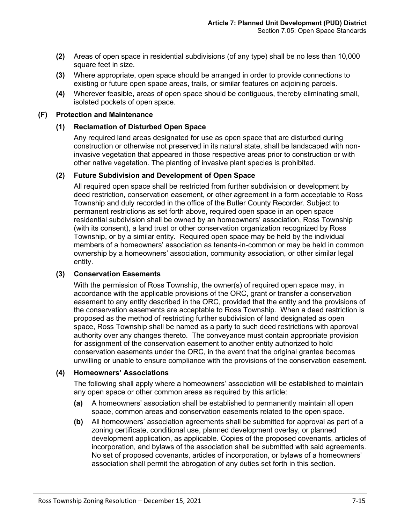- **(2)** Areas of open space in residential subdivisions (of any type) shall be no less than 10,000 square feet in size.
- **(3)** Where appropriate, open space should be arranged in order to provide connections to existing or future open space areas, trails, or similar features on adjoining parcels.
- **(4)** Wherever feasible, areas of open space should be contiguous, thereby eliminating small, isolated pockets of open space.

#### **(F) Protection and Maintenance**

#### **(1) Reclamation of Disturbed Open Space**

Any required land areas designated for use as open space that are disturbed during construction or otherwise not preserved in its natural state, shall be landscaped with noninvasive vegetation that appeared in those respective areas prior to construction or with other native vegetation. The planting of invasive plant species is prohibited.

#### **(2) Future Subdivision and Development of Open Space**

All required open space shall be restricted from further subdivision or development by deed restriction, conservation easement, or other agreement in a form acceptable to Ross Township and duly recorded in the office of the Butler County Recorder. Subject to permanent restrictions as set forth above, required open space in an open space residential subdivision shall be owned by an homeowners' association, Ross Township (with its consent), a land trust or other conservation organization recognized by Ross Township, or by a similar entity. Required open space may be held by the individual members of a homeowners' association as tenants-in-common or may be held in common ownership by a homeowners' association, community association, or other similar legal entity.

#### <span id="page-14-0"></span>**(3) Conservation Easements**

With the permission of Ross Township, the owner(s) of required open space may, in accordance with the applicable provisions of the ORC, grant or transfer a conservation easement to any entity described in the ORC, provided that the entity and the provisions of the conservation easements are acceptable to Ross Township. When a deed restriction is proposed as the method of restricting further subdivision of land designated as open space, Ross Township shall be named as a party to such deed restrictions with approval authority over any changes thereto. The conveyance must contain appropriate provision for assignment of the conservation easement to another entity authorized to hold conservation easements under the ORC, in the event that the original grantee becomes unwilling or unable to ensure compliance with the provisions of the conservation easement.

## **(4) Homeowners' Associations**

The following shall apply where a homeowners' association will be established to maintain any open space or other common areas as required by this article:

- **(a)** A homeowners' association shall be established to permanently maintain all open space, common areas and conservation easements related to the open space.
- **(b)** All homeowners' association agreements shall be submitted for approval as part of a zoning certificate, conditional use, planned development overlay, or planned development application, as applicable. Copies of the proposed covenants, articles of incorporation, and bylaws of the association shall be submitted with said agreements. No set of proposed covenants, articles of incorporation, or bylaws of a homeowners' association shall permit the abrogation of any duties set forth in this section.